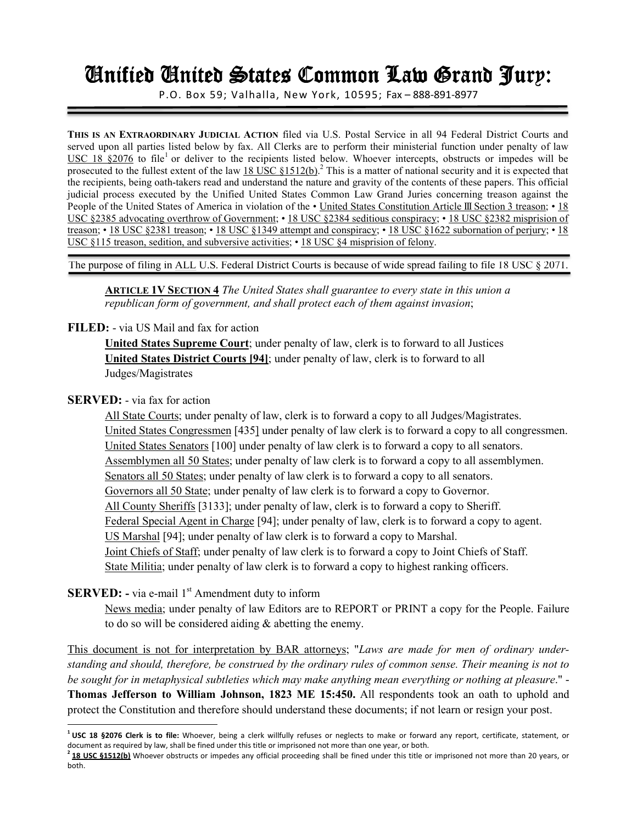# Unified United States Common Law Grand Jury: United Common Jury:

P.O. Box 59; Valhalla, New York, 10595; Fax – 888-891-8977

**THIS IS AN EXTRAORDINARY JUDICIAL ACTION** filed via U.S. Postal Service in all 94 Federal District Courts and served upon all parties listed below by fax. All Clerks are to perform their ministerial function under penalty of law USC 18  $$2076$  to file<sup>1</sup> or deliver to the recipients listed below. Whoever intercepts, obstructs or impedes will be prosecuted to the fullest extent of the law  $\frac{18 \text{ USC } \& 1512(b)}{2}$  This is a matter of national security and it is expected that the recipients, being oath-takers read and understand the nature and gravity of the contents of these papers. This official judicial process executed by the Unified United States Common Law Grand Juries concerning treason against the People of the United States of America in violation of the • United States Constitution Article III Section 3 treason; • 18 USC §2385 advocating overthrow of Government; • 18 USC §2384 seditious conspiracy; • 18 USC §2382 misprision of treason; • 18 USC §2381 treason; • 18 USC §1349 attempt and conspiracy; • 18 USC §1622 subornation of perjury; • 18 USC §115 treason, sedition, and subversive activities; • 18 USC §4 misprision of felony.

The purpose of filing in ALL U.S. Federal District Courts is because of wide spread failing to file 18 USC § 2071.

**ARTICLE 1V SECTION 4** *The United States shall guarantee to every state in this union a republican form of government, and shall protect each of them against invasion*;

### **FILED:** - via US Mail and fax for action

**United States Supreme Court**; under penalty of law, clerk is to forward to all Justices **United States District Courts [94]**; under penalty of law, clerk is to forward to all Judges/Magistrates

### **SERVED:** - via fax for action

 $\overline{a}$ 

 All State Courts; under penalty of law, clerk is to forward a copy to all Judges/Magistrates. United States Congressmen [435] under penalty of law clerk is to forward a copy to all congressmen. United States Senators [100] under penalty of law clerk is to forward a copy to all senators. Assemblymen all 50 States; under penalty of law clerk is to forward a copy to all assemblymen. Senators all 50 States; under penalty of law clerk is to forward a copy to all senators. Governors all 50 State; under penalty of law clerk is to forward a copy to Governor. All County Sheriffs [3133]; under penalty of law, clerk is to forward a copy to Sheriff. Federal Special Agent in Charge [94]; under penalty of law, clerk is to forward a copy to agent. US Marshal [94]; under penalty of law clerk is to forward a copy to Marshal. Joint Chiefs of Staff; under penalty of law clerk is to forward a copy to Joint Chiefs of Staff. State Militia; under penalty of law clerk is to forward a copy to highest ranking officers.

### **SERVED:** - via e-mail 1<sup>st</sup> Amendment duty to inform

News media; under penalty of law Editors are to REPORT or PRINT a copy for the People. Failure to do so will be considered aiding & abetting the enemy.

This document is not for interpretation by BAR attorneys; "*Laws are made for men of ordinary understanding and should, therefore, be construed by the ordinary rules of common sense. Their meaning is not to be sought for in metaphysical subtleties which may make anything mean everything or nothing at pleasure*." - **Thomas Jefferson to William Johnson, 1823 ME 15:450.** All respondents took an oath to uphold and protect the Constitution and therefore should understand these documents; if not learn or resign your post.

**<sup>1</sup> USC 18 §2076 Clerk is to file:** Whoever, being a clerk willfully refuses or neglects to make or forward any report, certificate, statement, or document as required by law, shall be fined under this title or imprisoned not more than one year, or both.

**<sup>2</sup> 18 USC §1512(b)** Whoever obstructs or impedes any official proceeding shall be fined under this title or imprisoned not more than 20 years, or both.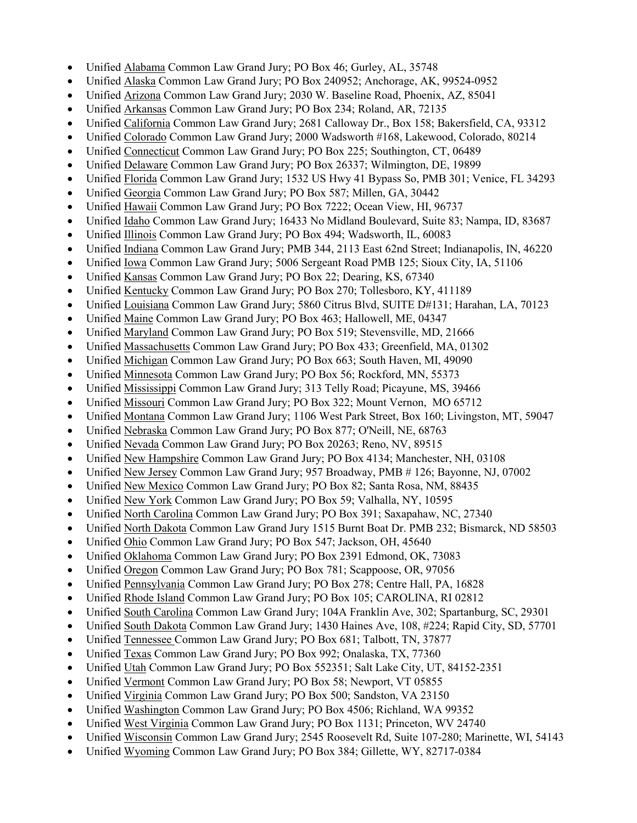- Unified Alabama Common Law Grand Jury; PO Box 46; Gurley, AL, 35748
- Unified Alaska Common Law Grand Jury; PO Box 240952; Anchorage, AK, 99524-0952
- Unified Arizona Common Law Grand Jury; 2030 W. Baseline Road, Phoenix, AZ, 85041
- Unified Arkansas Common Law Grand Jury; PO Box 234; Roland, AR, 72135
- Unified California Common Law Grand Jury; 2681 Calloway Dr., Box 158; Bakersfield, CA, 93312
- Unified Colorado Common Law Grand Jury; 2000 Wadsworth #168, Lakewood, Colorado, 80214
- Unified Connecticut Common Law Grand Jury; PO Box 225; Southington, CT, 06489
- Unified Delaware Common Law Grand Jury; PO Box 26337; Wilmington, DE, 19899
- Unified Florida Common Law Grand Jury; 1532 US Hwy 41 Bypass So, PMB 301; Venice, FL 34293
- Unified Georgia Common Law Grand Jury; PO Box 587; Millen, GA, 30442
- Unified Hawaii Common Law Grand Jury; PO Box 7222; Ocean View, HI, 96737
- Unified Idaho Common Law Grand Jury; 16433 No Midland Boulevard, Suite 83; Nampa, ID, 83687
- Unified Illinois Common Law Grand Jury; PO Box 494; Wadsworth, IL, 60083
- Unified Indiana Common Law Grand Jury; PMB 344, 2113 East 62nd Street; Indianapolis, IN, 46220
- Unified Iowa Common Law Grand Jury; 5006 Sergeant Road PMB 125; Sioux City, IA, 51106
- Unified Kansas Common Law Grand Jury; PO Box 22; Dearing, KS, 67340
- Unified Kentucky Common Law Grand Jury; PO Box 270; Tollesboro, KY, 411189
- Unified Louisiana Common Law Grand Jury; 5860 Citrus Blvd, SUITE D#131; Harahan, LA, 70123
- Unified Maine Common Law Grand Jury; PO Box 463; Hallowell, ME, 04347
- Unified Maryland Common Law Grand Jury; PO Box 519; Stevensville, MD, 21666
- Unified Massachusetts Common Law Grand Jury; PO Box 433; Greenfield, MA, 01302
- Unified Michigan Common Law Grand Jury; PO Box 663; South Haven, MI, 49090
- Unified Minnesota Common Law Grand Jury; PO Box 56; Rockford, MN, 55373
- Unified Mississippi Common Law Grand Jury; 313 Telly Road; Picayune, MS, 39466
- Unified Missouri Common Law Grand Jury; PO Box 322; Mount Vernon, MO 65712
- Unified Montana Common Law Grand Jury; 1106 West Park Street, Box 160; Livingston, MT, 59047
- Unified Nebraska Common Law Grand Jury; PO Box 877; O'Neill, NE, 68763
- Unified Nevada Common Law Grand Jury; PO Box 20263; Reno, NV, 89515
- Unified New Hampshire Common Law Grand Jury: PO Box 4134; Manchester, NH, 03108
- Unified New Jersey Common Law Grand Jury; 957 Broadway, PMB # 126; Bayonne, NJ, 07002
- Unified New Mexico Common Law Grand Jury; PO Box 82; Santa Rosa, NM, 88435
- Unified New York Common Law Grand Jury; PO Box 59; Valhalla, NY, 10595
- Unified North Carolina Common Law Grand Jury; PO Box 391; Saxapahaw, NC, 27340
- Unified North Dakota Common Law Grand Jury 1515 Burnt Boat Dr. PMB 232; Bismarck, ND 58503
- Unified Ohio Common Law Grand Jury; PO Box 547; Jackson, OH, 45640
- Unified Oklahoma Common Law Grand Jury; PO Box 2391 Edmond, OK, 73083
- Unified Oregon Common Law Grand Jury; PO Box 781; Scappoose, OR, 97056
- Unified Pennsylvania Common Law Grand Jury; PO Box 278; Centre Hall, PA, 16828
- Unified Rhode Island Common Law Grand Jury; PO Box 105; CAROLINA, RI 02812
- Unified South Carolina Common Law Grand Jury; 104A Franklin Ave, 302; Spartanburg, SC, 29301
- Unified South Dakota Common Law Grand Jury; 1430 Haines Ave, 108, #224; Rapid City, SD, 57701
- Unified Tennessee Common Law Grand Jury; PO Box 681; Talbott, TN, 37877
- Unified Texas Common Law Grand Jury; PO Box 992; Onalaska, TX, 77360
- Unified Utah Common Law Grand Jury; PO Box 552351; Salt Lake City, UT, 84152-2351
- Unified Vermont Common Law Grand Jury; PO Box 58; Newport, VT 05855
- Unified Virginia Common Law Grand Jury; PO Box 500; Sandston, VA 23150
- Unified Washington Common Law Grand Jury; PO Box 4506; Richland, WA 99352
- Unified West Virginia Common Law Grand Jury; PO Box 1131; Princeton, WV 24740
- Unified Wisconsin Common Law Grand Jury; 2545 Roosevelt Rd, Suite 107-280; Marinette, WI, 54143
- Unified Wyoming Common Law Grand Jury; PO Box 384; Gillette, WY, 82717-0384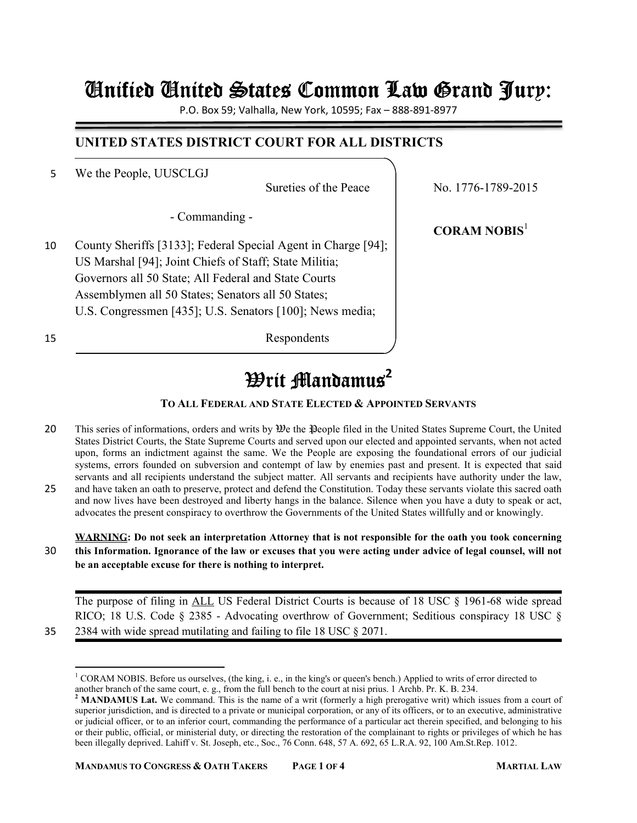## Unified United States Common Law Grand Jury: United Common Jury:

P.O. Box 59; Valhalla, New York, 10595; Fax – 888-891-8977

### **UNITED STATES DISTRICT COURT FOR ALL DISTRICTS**

5 We the People, UUSCLGJ

- Commanding -

10 County Sheriffs [3133]; Federal Special Agent in Charge [94]; US Marshal [94]; Joint Chiefs of Staff; State Militia; Governors all 50 State; All Federal and State Courts Assemblymen all 50 States; Senators all 50 States; U.S. Congressmen [435]; U.S. Senators [100]; News media;

15 Respondents

Sureties of the Peace No. 1776-1789-2015

**CORAM NOBIS**<sup>1</sup>

## *W*rit Mandamus<sup>2</sup>

#### **TO ALL FEDERAL AND STATE ELECTED & APPOINTED SERVANTS**

- 20 This series of informations, orders and writs by  $\mathfrak{W}e$  the People filed in the United States Supreme Court, the United States District Courts, the State Supreme Courts and served upon our elected and appointed servants, when not acted upon, forms an indictment against the same. We the People are exposing the foundational errors of our judicial systems, errors founded on subversion and contempt of law by enemies past and present. It is expected that said servants and all recipients understand the subject matter. All servants and recipients have authority under the law, 25 and have taken an oath to preserve, protect and defend the Constitution. Today these servants violate this sacred oath
- and now lives have been destroyed and liberty hangs in the balance. Silence when you have a duty to speak or act, advocates the present conspiracy to overthrow the Governments of the United States willfully and or knowingly.

### **WARNING: Do not seek an interpretation Attorney that is not responsible for the oath you took concerning**  30 **this Information. Ignorance of the law or excuses that you were acting under advice of legal counsel, will not be an acceptable excuse for there is nothing to interpret.**

The purpose of filing in ALL US Federal District Courts is because of 18 USC § 1961-68 wide spread RICO; 18 U.S. Code § 2385 - Advocating overthrow of Government; Seditious conspiracy 18 USC § 35 2384 with wide spread mutilating and failing to file 18 USC § 2071.

 $\overline{\phantom{0}}$ 

<sup>&</sup>lt;sup>1</sup> CORAM NOBIS. Before us ourselves, (the king, i. e., in the king's or queen's bench.) Applied to writs of error directed to another branch of the same court, e. g., from the full bench to the court at nisi prius. 1 Archb. Pr. K. B. 234.

<sup>&</sup>lt;sup>2</sup> MANDAMUS Lat. We command. This is the name of a writ (formerly a high prerogative writ) which issues from a court of superior jurisdiction, and is directed to a private or municipal corporation, or any of its officers, or to an executive, administrative or judicial officer, or to an inferior court, commanding the performance of a particular act therein specified, and belonging to his or their public, official, or ministerial duty, or directing the restoration of the complainant to rights or privileges of which he has been illegally deprived. Lahiff v. St. Joseph, etc., Soc., 76 Conn. 648, 57 A. 692, 65 L.R.A. 92, 100 Am.St.Rep. 1012.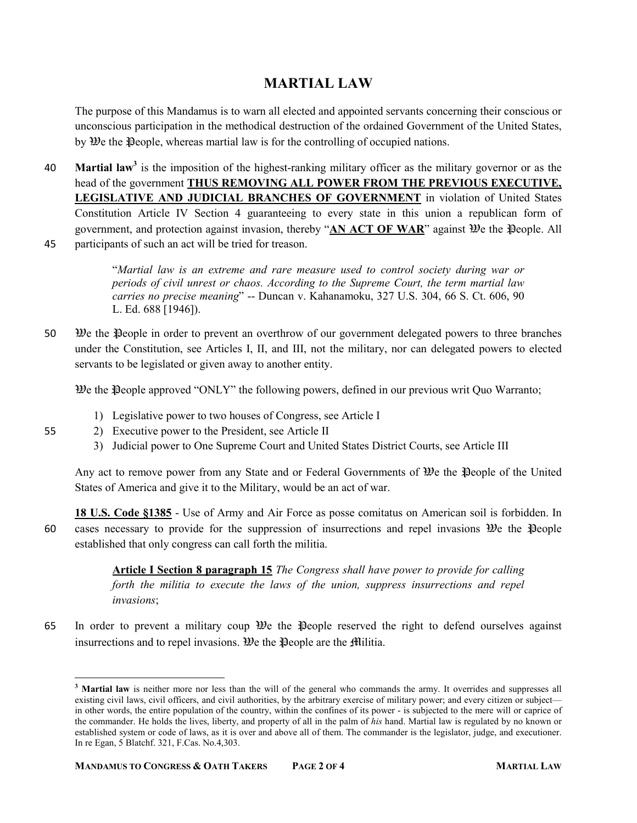### **MARTIAL LAW**

The purpose of this Mandamus is to warn all elected and appointed servants concerning their conscious or unconscious participation in the methodical destruction of the ordained Government of the United States, by We the People, whereas martial law is for the controlling of occupied nations.

- **Martial law<sup>3</sup>** is the imposition of the highest-ranking military officer as the military governor or as the head of the government **THUS REMOVING ALL POWER FROM THE PREVIOUS EXECUTIVE, LEGISLATIVE AND JUDICIAL BRANCHES OF GOVERNMENT** in violation of United States Constitution Article IV Section 4 guaranteeing to every state in this union a republican form of government, and protection against invasion, thereby "AN ACT OF WAR" against  $\mathcal{D}$ e the People. All 45 participants of such an act will be tried for treason.
- 

"*Martial law is an extreme and rare measure used to control society during war or periods of civil unrest or chaos. According to the Supreme Court, the term martial law carries no precise meaning*" -- Duncan v. Kahanamoku, 327 U.S. 304, 66 S. Ct. 606, 90 L. Ed. 688 [1946]).

50 We the Preople in order to prevent an overthrow of our government delegated powers to three branches under the Constitution, see Articles I, II, and III, not the military, nor can delegated powers to elected servants to be legislated or given away to another entity.

 $\mathcal{W}$ e the People approved "ONLY" the following powers, defined in our previous writ Quo Warranto;

- 1) Legislative power to two houses of Congress, see Article I
- 55 2) Executive power to the President, see Article II
	- 3) Judicial power to One Supreme Court and United States District Courts, see Article III

Any act to remove power from any State and or Federal Governments of  $\mathcal{W}$ e the  $\mathcal{P}$ eople of the United States of America and give it to the Military, would be an act of war.

**18 U.S. Code §1385** - Use of Army and Air Force as posse comitatus on American soil is forbidden. In 60 cases necessary to provide for the suppression of insurrections and repel invasions We the People established that only congress can call forth the militia.

> **Article I Section 8 paragraph 15** *The Congress shall have power to provide for calling forth the militia to execute the laws of the union, suppress insurrections and repel invasions*;

65 In order to prevent a military coup  $\mathcal{Y}_e$  the  $\mathcal{Y}_e$  reserved the right to defend ourselves against insurrections and to repel invasions. We the People are the Militia.

ı

<sup>&</sup>lt;sup>3</sup> Martial law is neither more nor less than the will of the general who commands the army. It overrides and suppresses all existing civil laws, civil officers, and civil authorities, by the arbitrary exercise of military power; and every citizen or subject in other words, the entire population of the country, within the confines of its power - is subjected to the mere will or caprice of the commander. He holds the lives, liberty, and property of all in the palm of *his* hand. Martial law is regulated by no known or established system or code of laws, as it is over and above all of them. The commander is the legislator, judge, and executioner. In re Egan, 5 Blatchf. 321, F.Cas. No.4,303.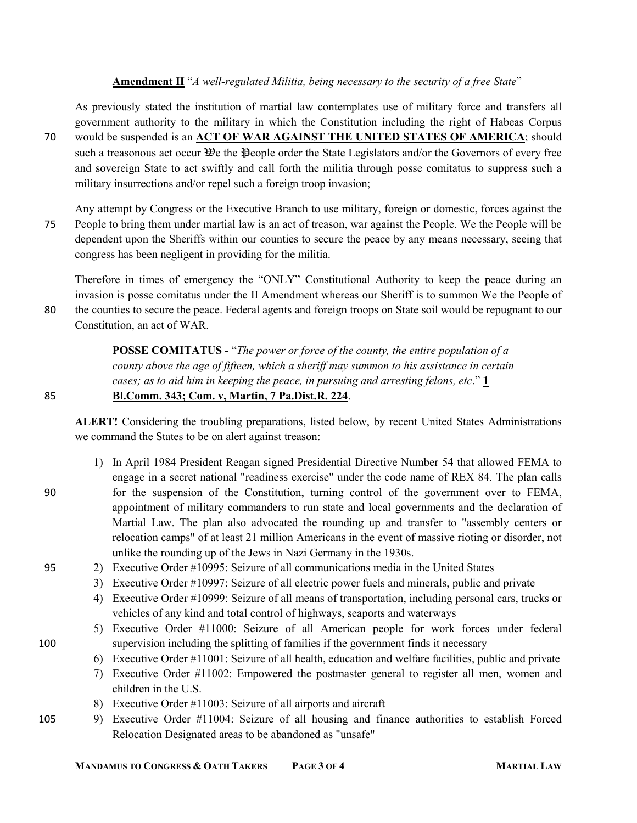#### **Amendment II** "*A well-regulated Militia, being necessary to the security of a free State*"

As previously stated the institution of martial law contemplates use of military force and transfers all government authority to the military in which the Constitution including the right of Habeas Corpus 70 would be suspended is an **ACT OF WAR AGAINST THE UNITED STATES OF AMERICA**; should such a treasonous act occur  $\mathcal{Y}_e$  the People order the State Legislators and/or the Governors of every free and sovereign State to act swiftly and call forth the militia through posse comitatus to suppress such a military insurrections and/or repel such a foreign troop invasion;

Any attempt by Congress or the Executive Branch to use military, foreign or domestic, forces against the 75 People to bring them under martial law is an act of treason, war against the People. We the People will be dependent upon the Sheriffs within our counties to secure the peace by any means necessary, seeing that congress has been negligent in providing for the militia.

Therefore in times of emergency the "ONLY" Constitutional Authority to keep the peace during an invasion is posse comitatus under the II Amendment whereas our Sheriff is to summon We the People of 80 the counties to secure the peace. Federal agents and foreign troops on State soil would be repugnant to our Constitution, an act of WAR.

> **POSSE COMITATUS -** "*The power or force of the county, the entire population of a county above the age of fifteen, which a sheriff may summon to his assistance in certain cases; as to aid him in keeping the peace, in pursuing and arresting felons, etc*." **1**

### 85 **Bl.Comm. 343; Com. v, Martin, 7 Pa.Dist.R. 224**.

**ALERT!** Considering the troubling preparations, listed below, by recent United States Administrations we command the States to be on alert against treason:

- 1) In April 1984 President Reagan signed Presidential Directive Number 54 that allowed FEMA to engage in a secret national "readiness exercise" under the code name of REX 84. The plan calls 90 for the suspension of the Constitution, turning control of the government over to FEMA, appointment of military commanders to run state and local governments and the declaration of Martial Law. The plan also advocated the rounding up and transfer to "assembly centers or relocation camps" of at least 21 million Americans in the event of massive rioting or disorder, not unlike the rounding up of the Jews in Nazi Germany in the 1930s.
- 95 2) Executive Order #10995: Seizure of all communications media in the United States
	- 3) Executive Order #10997: Seizure of all electric power fuels and minerals, public and private
	- 4) Executive Order #10999: Seizure of all means of transportation, including personal cars, trucks or vehicles of any kind and total control of highways, seaports and waterways
- 5) Executive Order #11000: Seizure of all American people for work forces under federal 100 supervision including the splitting of families if the government finds it necessary
	- 6) Executive Order #11001: Seizure of all health, education and welfare facilities, public and private
	- 7) Executive Order #11002: Empowered the postmaster general to register all men, women and children in the U.S.
	- 8) Executive Order #11003: Seizure of all airports and aircraft
- 105 9) Executive Order #11004: Seizure of all housing and finance authorities to establish Forced Relocation Designated areas to be abandoned as "unsafe"